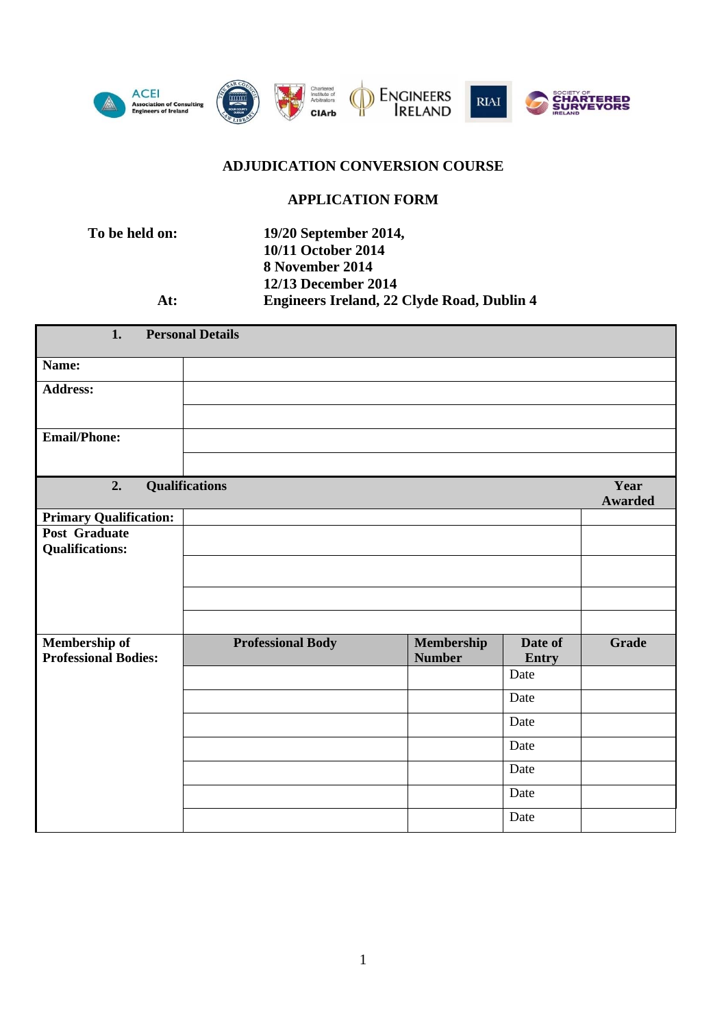

# **ADJUDICATION CONVERSION COURSE**

### **APPLICATION FORM**

**To be held on: 19/20 September 2014, 10/11 October 2014 8 November 2014 12/13 December 2014 At: Engineers Ireland, 22 Clyde Road, Dublin 4** 

| 1.                                           | <b>Personal Details</b>  |                             |                  |                |
|----------------------------------------------|--------------------------|-----------------------------|------------------|----------------|
| Name:                                        |                          |                             |                  |                |
| <b>Address:</b>                              |                          |                             |                  |                |
|                                              |                          |                             |                  |                |
| <b>Email/Phone:</b>                          |                          |                             |                  |                |
|                                              |                          |                             |                  |                |
| 2.                                           | Qualifications           |                             |                  | Year           |
|                                              |                          |                             |                  | <b>Awarded</b> |
| <b>Primary Qualification:</b>                |                          |                             |                  |                |
| Post Graduate                                |                          |                             |                  |                |
| <b>Qualifications:</b>                       |                          |                             |                  |                |
|                                              |                          |                             |                  |                |
|                                              |                          |                             |                  |                |
|                                              |                          |                             |                  |                |
|                                              |                          |                             |                  |                |
| Membership of<br><b>Professional Bodies:</b> | <b>Professional Body</b> | Membership<br><b>Number</b> | Date of<br>Entry | <b>Grade</b>   |
|                                              |                          |                             | Date             |                |
|                                              |                          |                             | Date             |                |
|                                              |                          |                             | Date             |                |
|                                              |                          |                             | Date             |                |
|                                              |                          |                             | Date             |                |
|                                              |                          |                             | Date             |                |
|                                              |                          |                             | Date             |                |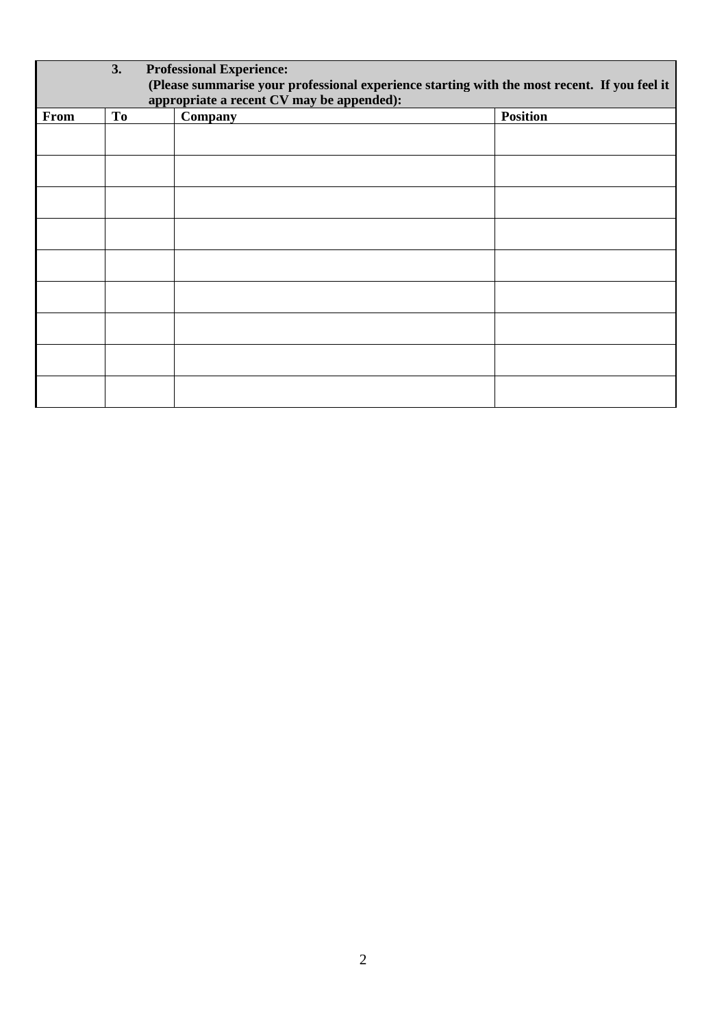|      | 3.                                                                                           | <b>Professional Experience:</b> |                 |  |
|------|----------------------------------------------------------------------------------------------|---------------------------------|-----------------|--|
|      | (Please summarise your professional experience starting with the most recent. If you feel it |                                 |                 |  |
|      | appropriate a recent CV may be appended):                                                    |                                 |                 |  |
| From | <b>To</b>                                                                                    | Company                         | <b>Position</b> |  |
|      |                                                                                              |                                 |                 |  |
|      |                                                                                              |                                 |                 |  |
|      |                                                                                              |                                 |                 |  |
|      |                                                                                              |                                 |                 |  |
|      |                                                                                              |                                 |                 |  |
|      |                                                                                              |                                 |                 |  |
|      |                                                                                              |                                 |                 |  |
|      |                                                                                              |                                 |                 |  |
|      |                                                                                              |                                 |                 |  |
|      |                                                                                              |                                 |                 |  |
|      |                                                                                              |                                 |                 |  |
|      |                                                                                              |                                 |                 |  |
|      |                                                                                              |                                 |                 |  |
|      |                                                                                              |                                 |                 |  |
|      |                                                                                              |                                 |                 |  |
|      |                                                                                              |                                 |                 |  |
|      |                                                                                              |                                 |                 |  |
|      |                                                                                              |                                 |                 |  |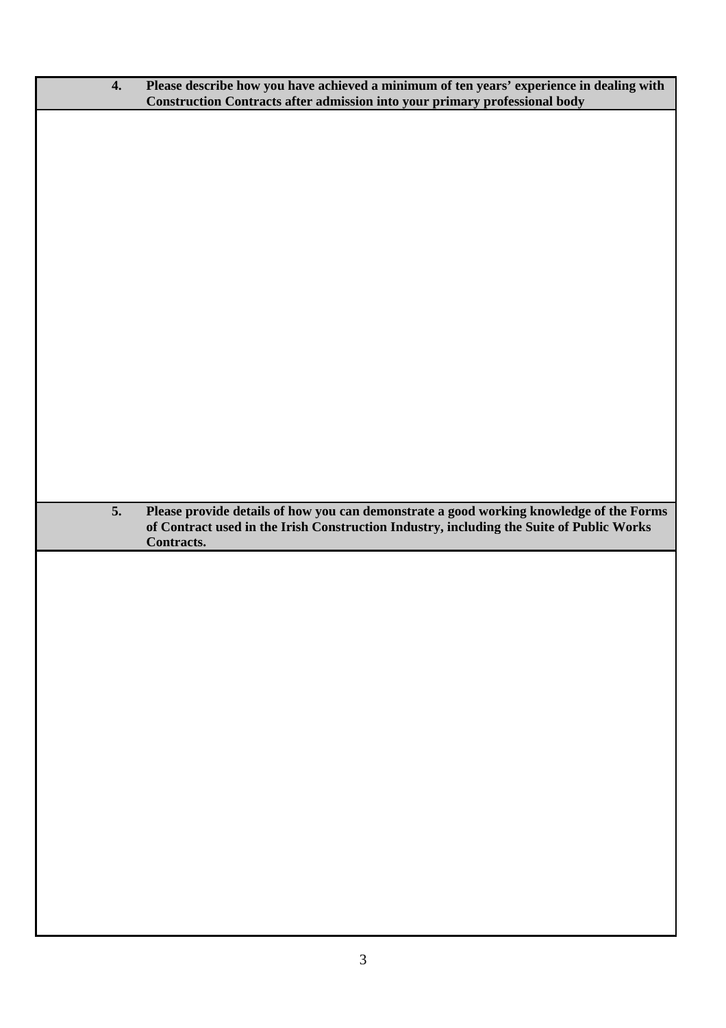| $\boldsymbol{4}$ . | Please describe how you have achieved a minimum of ten years' experience in dealing with<br>Construction Contracts after admission into your primary professional body                            |
|--------------------|---------------------------------------------------------------------------------------------------------------------------------------------------------------------------------------------------|
|                    |                                                                                                                                                                                                   |
|                    |                                                                                                                                                                                                   |
|                    |                                                                                                                                                                                                   |
|                    |                                                                                                                                                                                                   |
|                    |                                                                                                                                                                                                   |
|                    |                                                                                                                                                                                                   |
|                    |                                                                                                                                                                                                   |
|                    |                                                                                                                                                                                                   |
|                    |                                                                                                                                                                                                   |
|                    |                                                                                                                                                                                                   |
|                    |                                                                                                                                                                                                   |
|                    |                                                                                                                                                                                                   |
| 5.                 | Please provide details of how you can demonstrate a good working knowledge of the Forms<br>of Contract used in the Irish Construction Industry, including the Suite of Public Works<br>Contracts. |
|                    |                                                                                                                                                                                                   |
|                    |                                                                                                                                                                                                   |
|                    |                                                                                                                                                                                                   |
|                    |                                                                                                                                                                                                   |
|                    |                                                                                                                                                                                                   |
|                    |                                                                                                                                                                                                   |
|                    |                                                                                                                                                                                                   |
|                    |                                                                                                                                                                                                   |
|                    |                                                                                                                                                                                                   |
|                    |                                                                                                                                                                                                   |
|                    |                                                                                                                                                                                                   |
|                    |                                                                                                                                                                                                   |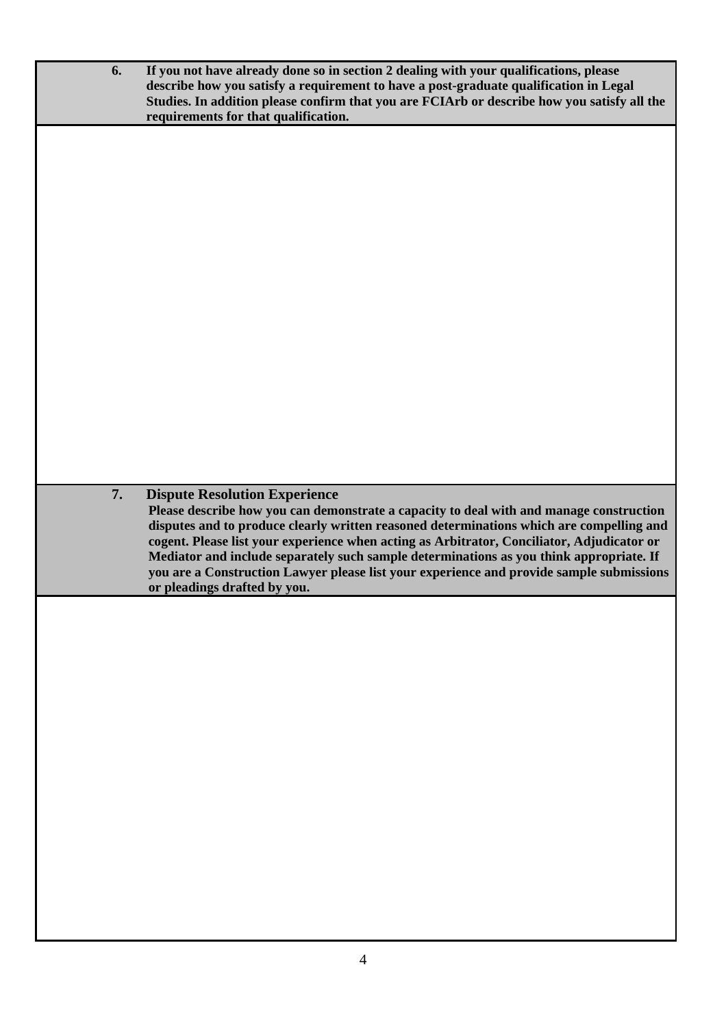| 6. | If you not have already done so in section 2 dealing with your qualifications, please<br>describe how you satisfy a requirement to have a post-graduate qualification in Legal<br>Studies. In addition please confirm that you are FCIArb or describe how you satisfy all the<br>requirements for that qualification.                                                                                                                                                                                                                            |
|----|--------------------------------------------------------------------------------------------------------------------------------------------------------------------------------------------------------------------------------------------------------------------------------------------------------------------------------------------------------------------------------------------------------------------------------------------------------------------------------------------------------------------------------------------------|
|    |                                                                                                                                                                                                                                                                                                                                                                                                                                                                                                                                                  |
|    |                                                                                                                                                                                                                                                                                                                                                                                                                                                                                                                                                  |
|    |                                                                                                                                                                                                                                                                                                                                                                                                                                                                                                                                                  |
|    |                                                                                                                                                                                                                                                                                                                                                                                                                                                                                                                                                  |
|    |                                                                                                                                                                                                                                                                                                                                                                                                                                                                                                                                                  |
|    |                                                                                                                                                                                                                                                                                                                                                                                                                                                                                                                                                  |
|    |                                                                                                                                                                                                                                                                                                                                                                                                                                                                                                                                                  |
| 7. | <b>Dispute Resolution Experience</b><br>Please describe how you can demonstrate a capacity to deal with and manage construction<br>disputes and to produce clearly written reasoned determinations which are compelling and<br>cogent. Please list your experience when acting as Arbitrator, Conciliator, Adjudicator or<br>Mediator and include separately such sample determinations as you think appropriate. If<br>you are a Construction Lawyer please list your experience and provide sample submissions<br>or pleadings drafted by you. |
|    |                                                                                                                                                                                                                                                                                                                                                                                                                                                                                                                                                  |
|    |                                                                                                                                                                                                                                                                                                                                                                                                                                                                                                                                                  |
|    |                                                                                                                                                                                                                                                                                                                                                                                                                                                                                                                                                  |
|    |                                                                                                                                                                                                                                                                                                                                                                                                                                                                                                                                                  |
|    |                                                                                                                                                                                                                                                                                                                                                                                                                                                                                                                                                  |
|    |                                                                                                                                                                                                                                                                                                                                                                                                                                                                                                                                                  |
|    |                                                                                                                                                                                                                                                                                                                                                                                                                                                                                                                                                  |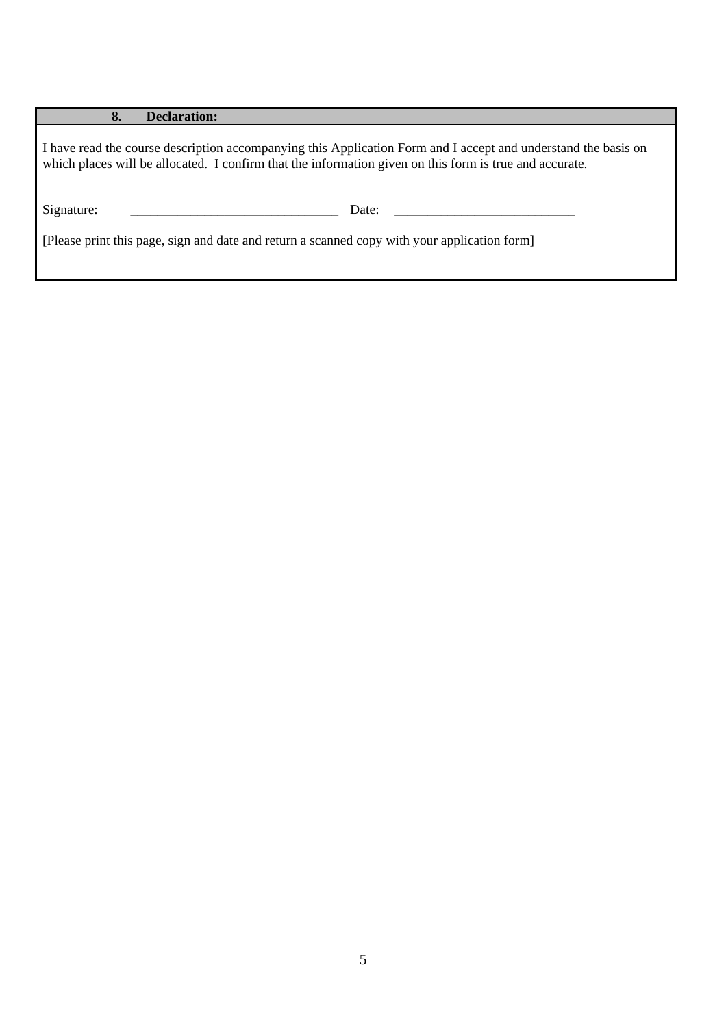#### **8. Declaration:**

I have read the course description accompanying this Application Form and I accept and understand the basis on which places will be allocated. I confirm that the information given on this form is true and accurate.

Signature: \_\_\_\_\_\_\_\_\_\_\_\_\_\_\_\_\_\_\_\_\_\_\_\_\_\_\_\_\_\_\_ Date: \_\_\_\_\_\_\_\_\_\_\_\_\_\_\_\_\_\_\_\_\_\_\_\_\_\_\_

[Please print this page, sign and date and return a scanned copy with your application form]